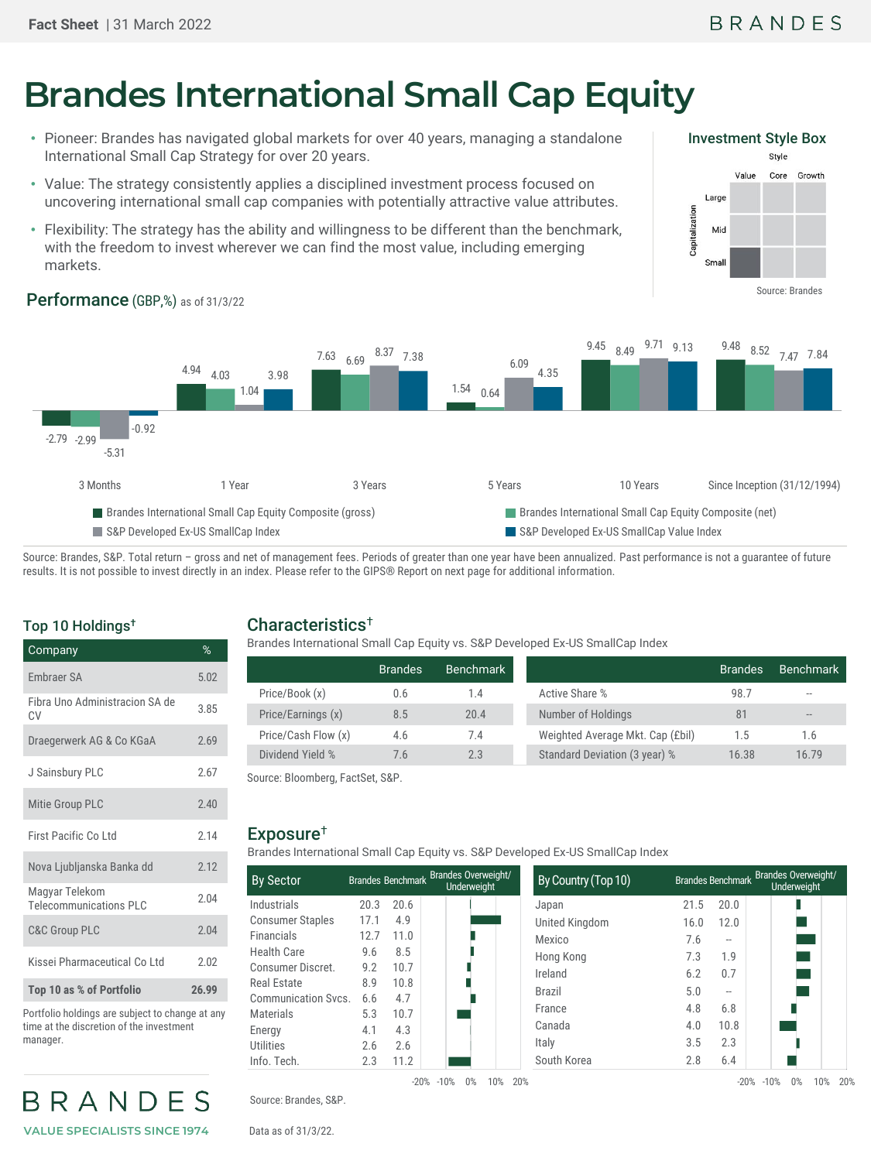# **Brandes International Small Cap Equity**

- Pioneer: Brandes has navigated global markets for over 40 years, managing a standalone International Small Cap Strategy for over 20 years.
- Value: The strategy consistently applies a disciplined investment process focused on uncovering international small cap companies with potentially attractive value attributes.
- Flexibility: The strategy has the ability and willingness to be different than the benchmark, with the freedom to invest wherever we can find the most value, including emerging markets.



9.13 9.48 8.52 7.47 7.84

#### -2.79 -2.99 4.94 7.63 6.69 1.54 9.45 8.49 9.71 9.13 9.48 8.52 4.03 0.64 -5.31 1.04 8.37 7.38 6.09 -0.92 3.98 4.35 3 Months 1 Year 3 Years 5 Years 5 Years 5 Years 10 Years Since Inception (31/12/1994)

■ Brandes International Small Cap Equity Composite (gross) Brandes International Small Cap Equity Composite (net) S&P Developed Ex-US SmallCap Index Sabel 2012 1 S&P Developed Ex-US SmallCap Value Index

Source: Brandes, S&P. Total return - gross and net of management fees. Periods of greater than one year have been annualized. Past performance is not a guarantee of future results. It is not possible to invest directly in an index. Please refer to the GIPS® Report on next page for additional information.

## Top 10 Holdings†

| Company                                         | %     |
|-------------------------------------------------|-------|
| <b>Embraer SA</b>                               | 5.02  |
| Fibra Uno Administracion SA de<br>CV            | 3.85  |
| Draegerwerk AG & Co KGaA                        | 2.69  |
| J Sainsbury PLC                                 | 2.67  |
| Mitie Group PLC                                 | 2.40  |
| First Pacific Co Ltd                            | 2.14  |
| Nova Ljubljanska Banka dd                       | 2.12  |
| Magyar Telekom<br><b>Telecommunications PLC</b> | 2.04  |
| <b>C&amp;C Group PLC</b>                        | 2.04  |
| Kissei Pharmaceutical Co Ltd                    | 2.02  |
| Top 10 as % of Portfolio                        | 26.99 |

Portfolio holdings are subject to change at any time at the discretion of the investment manager.

BRANDES **VALUE SPECIALISTS SINCE 1974**

## Characteristics†

Brandes International Small Cap Equity vs. S&P Developed Ex-US SmallCap Index

|                     | <b>Brandes</b> | Benchmark |                                  | <b>Brandes</b> | <b>Benchmark</b> |
|---------------------|----------------|-----------|----------------------------------|----------------|------------------|
| Price/Book (x)      | 0.6            | 1.4       | Active Share %                   | 98.7           | $- -$            |
| Price/Earnings (x)  | 8.5            | 20.4      | Number of Holdings               | 81             | $- -$            |
| Price/Cash Flow (x) | 4.6            | 7.4       | Weighted Average Mkt. Cap (£bil) | 1.5            | 1.6              |
| Dividend Yield %    | 7.6            | 2.3       | Standard Deviation (3 year) %    | 16.38          | 16.79            |

Source: Bloomberg, FactSet, S&P.

## Exposure†

Brandes International Small Cap Equity vs. S&P Developed Ex-US SmallCap Index

| <b>By Sector</b>           |      | <b>Brandes Benchmark</b> | <b>Brandes Overweight/</b><br><b>Underweight</b> | By Country (Top 10) |      | <b>Brandes Benchmark</b> | Brandes Overweight/<br>Underweight |
|----------------------------|------|--------------------------|--------------------------------------------------|---------------------|------|--------------------------|------------------------------------|
| Industrials                | 20.3 | 20.6                     |                                                  | Japan               | 21.5 | 20.0                     |                                    |
| <b>Consumer Staples</b>    | 17.1 | 4.9                      |                                                  | United Kingdom      | 16.0 | 12.0                     |                                    |
| Financials                 | 12.7 | 11.0                     |                                                  | Mexico              | 7.6  | $-\,$                    |                                    |
| Health Care                | 9.6  | 8.5                      |                                                  | Hong Kong           | 7.3  | 1.9                      |                                    |
| Consumer Discret.          | 9.2  | 10.7                     |                                                  | Ireland             | 6.2  | 0.7                      |                                    |
| Real Estate                | 8.9  | 10.8                     |                                                  | <b>Brazil</b>       | 5.0  | $-\,$                    |                                    |
| <b>Communication Svcs.</b> | 6.6  | 4.7                      |                                                  |                     |      |                          |                                    |
| Materials                  | 5.3  | 10.7                     |                                                  | France              | 4.8  | 6.8                      |                                    |
| Energy                     | 4.1  | 4.3                      |                                                  | Canada              | 4.0  | 10.8                     |                                    |
| Utilities                  | 2.6  | 2.6                      |                                                  | Italy               | 3.5  | 2.3                      |                                    |
| Info. Tech.                | 2.3  | 11.2                     |                                                  | South Korea         | 2.8  | 6.4                      |                                    |

Source: Brandes, S&P.

Data as of 31/3/22.

## Performance (GBP,%) as of 31/3/22